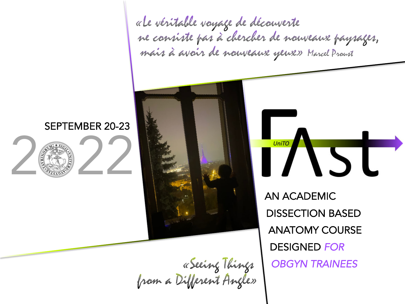«Le véritable voyage de découverte ne consiste pas à chercher de nouveaux paysages, mais à avoir de nouveaux yeux» Marcel Proust

UniTO



## Eeing Things<br>from a Different Angle»

AN ACADEMIC ANATOMY COURSE DISSECTION BASED DESIGNED FOR OBGYN TRAINEES

 $\overline{\mathbf{S}}$ 

# SEPTEMBER 20-23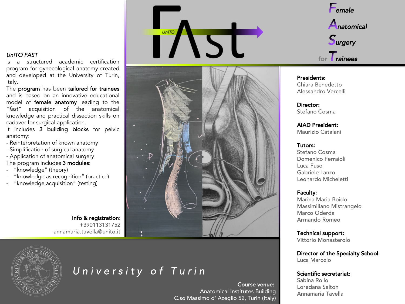#### UniTO FAST

is a structured academic certification program for gynecological anatomy created and developed at the University of Turin, Italy.

The program has been tailored for trainees and is based on an innovative educational model of female anatomy leading to the "fast" acquisition of the anatomical knowledge and practical dissection skills on cadaver for surgical application.

It includes 3 building blocks for pelvic anatomy:

- Reinterpretation of known anatomy
- Simplification of surgical anatomy
- Application of anatomical surgery The program includes 3 modules:
- "knowledge" (theory)
- "knowledge as recognition" (practice)
- "knowledge acquisition" (testing)

Info & registration: +390113131752 annamaria.tavella@unito.it







### University of Turin

Course venue: Anatomical Institutes Building C.so Massimo d' Azeglio 52, Turin (Italy)



#### Presidents: Chiara Benedetto Alessandro Vercelli

#### Director: Stefano Cosma

AIAD President: Maurizio Catalani

#### Tutors:

Stefano Cosma Domenico Ferraioli Luca Fuso Gabriele Lanzo Leonardo Micheletti

#### Faculty:

Marina Maria Boido Massimiliano Mistrangelo Marco Oderda Armando Romeo

Technical support: Vittorio Monasterolo

Director of the Specialty School: Luca Marozio

#### Scientific secretariat:

Sabina Rollo Loredana Salton Annamaria Tavella